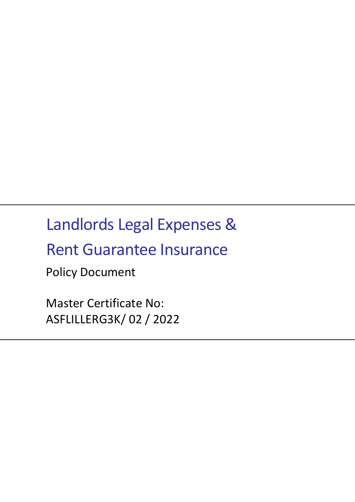# Landlords Legal Expenses &

# Rent Guarantee Insurance

Policy Document

Master Certificate No: ASFLILLERG3K/ 02 / 2022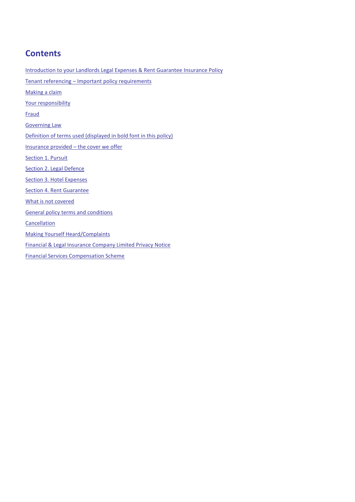# **Contents**

[Introduction to your Landlords Legal Expenses & Rent Guarantee Insurance Policy](#page-2-0) Tenant referencing – Important policy [requirements](#page-3-0) [Making a claim](#page-4-0) [Your responsibility](#page-4-1) [Fraud](#page-4-2) [Governing Law](#page-4-3) [Definition of terms used \(displayed in bold font in this policy\)](#page-5-0) [Insurance provided](#page-7-0) – the cover we offer [Section 1. Pursuit](#page-7-1) [Section 2. Legal Defence](#page-8-0) [Section 3. Hotel Expenses](#page-8-1) [Section 4. Rent Guarantee](#page-9-0) [What is not covered](#page-9-1) [General policy terms and conditions](#page-10-0) **[Cancellation](#page-13-0)** [Making Yourself Heard/Complaints](#page-13-1) Financial & Legal Insurance [Company Limited Privacy Notice](#page-14-0) [Financial Services Compensation Scheme](#page-14-1)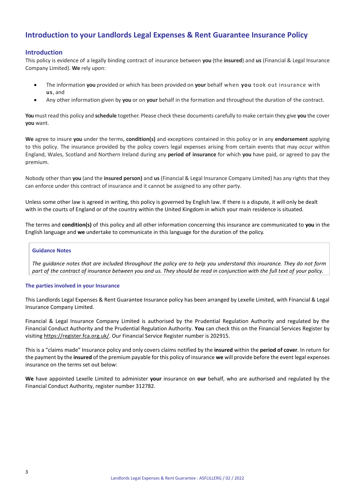# <span id="page-2-0"></span>**Introduction to your Landlords Legal Expenses & Rent Guarantee Insurance Policy**

## **Introduction**

This policy is evidence of a legally binding contract of insurance between **you** (the **insured**) and **us** (Financial & Legal Insurance Company Limited). **We** rely upon:

- The information **you** provided or which has been provided on **your** behalf when **you** took out insurance with **us**, and
- Any other information given by **you** or on **your** behalf in the formation and throughout the duration of the contract.

**You**must read this policy and **schedule** together. Please check these documents carefully to make certain they give **you** the cover **you** want.

**We** agree to insure **you** under the terms, **condition(s)** and exceptions contained in this policy or in any **endorsement** applying to this policy. The insurance provided by the policy covers legal expenses arising from certain events that may occur within England, Wales, Scotland and Northern Ireland during any **period of insurance** for which **you** have paid, or agreed to pay the premium.

Nobody other than **you** (and the **insured person)** and **us** (Financial & Legal Insurance Company Limited) has any rights that they can enforce under this contract of insurance and it cannot be assigned to any other party.

Unless some other law is agreed in writing, this policy is governed by English law. If there is a dispute, it will only be dealt with in the courts of England or of the country within the United Kingdom in which your main residence is situated.

The terms and **condition(s)** of this policy and all other information concerning this insurance are communicated to **you** in the English language and **we** undertake to communicate in this language for the duration of the policy.

#### **Guidance Notes**

*The guidance notes that are included throughout the policy are to help you understand this insurance. They do not form part of the contract of insurance between you and us. They should be read in conjunction with the full text of your policy.*

#### **The parties involved in your Insurance**

This Landlords Legal Expenses & Rent Guarantee Insurance policy has been arranged by Lexelle Limited, with Financial & Legal Insurance Company Limited.

Financial & Legal Insurance Company Limited is authorised by the Prudential Regulation Authority and regulated by the Financial Conduct Authority and the Prudential Regulation Authority. **You** can check this on the Financial Services Register by visitin[g https://register.fca.org.uk/.](https://register.fca.org.uk/) Our Financial Service Register number is 202915.

This is a "claims made" Insurance policy and only covers claims notified by the **insured** within the **period of cover**. In return for the payment by the **insured** of the premium payable for this policy of insurance **we** will provide before the event legal expenses insurance on the terms set out below:

**We** have appointed Lexelle Limited to administer **your** insurance on **our** behalf, who are authorised and regulated by the Financial Conduct Authority, register number 312782.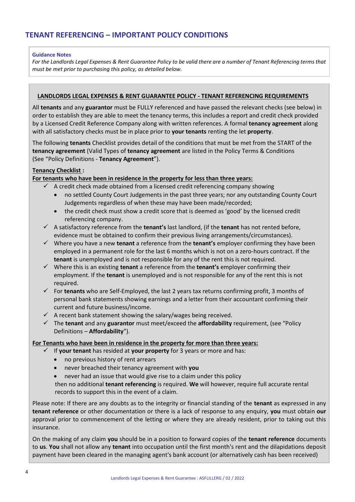## <span id="page-3-0"></span>**Guidance Notes**

*For the Landlords Legal Expenses & Rent Guarantee Policy to be valid there are a number of Tenant Referencing terms that must be met prior to purchasing this policy, as detailed below.*

## **LANDLORDS LEGAL EXPENSES & RENT GUARANTEE POLICY - TENANT REFERENCING REQUIREMENTS**

All **tenants** and any **guarantor** must be FULLY referenced and have passed the relevant checks (see below) in order to establish they are able to meet the tenancy terms, this includes a report and credit check provided by a Licensed Credit Reference Company along with written references. A formal **tenancy agreement** along with all satisfactory checks must be in place prior to **your tenants** renting the let **property**.

The following **tenants** Checklist provides detail of the conditions that must be met from the START of the **tenancy agreement** (Valid Types of **tenancy agreement** are listed in the Policy Terms & Conditions (See "Policy Definitions - **Tenancy Agreement**").

## **Tenancy Checklist :**

## **For tenants who have been in residence in the property for less than three years:**

- $\checkmark$  A credit check made obtained from a licensed credit referencing company showing
	- no settled County Court Judgements in the past three years; nor any outstanding County Court Judgements regardless of when these may have been made/recorded;
	- the credit check must show a credit score that is deemed as 'good' by the licensed credit referencing company.
- ✓ A satisfactory reference from the **tenant's** last landlord, (if the **tenant** has not rented before, evidence must be obtained to confirm their previous living arrangements/circumstances).
- ✓ Where you have a new **tenant** a reference from the **tenant's** employer confirming they have been employed in a permanent role for the last 6 months which is not on a zero-hours contract. If the **tenant** is unemployed and is not responsible for any of the rent this is not required.
- ✓ Where this is an existing **tenant** a reference from the **tenant's** employer confirming their employment. If the **tenant** is unemployed and is not responsible for any of the rent this is not required.
- ✓ For **tenants** who are Self-Employed, the last 2 years tax returns confirming profit, 3 months of personal bank statements showing earnings and a letter from their accountant confirming their current and future business/income.
- $\checkmark$  A recent bank statement showing the salary/wages being received.
- ✓ The **tenant** and any **guarantor** must meet/exceed the **affordability** requirement, (see "Policy Definitions – **Affordability**").

## **For Tenants who have been in residence in the property for more than three years:**

- ✓ If **your tenant** has resided at **your property** for 3 years or more and has:
	- no previous history of rent arrears
	- never breached their tenancy agreement with **you**
	- never had an issue that would give rise to a claim under this policy

then no additional **tenant referencing** is required. **We** will however, require full accurate rental records to support this in the event of a claim.

Please note: If there are any doubts as to the integrity or financial standing of the **tenant** as expressed in any **tenant reference** or other documentation or there is a lack of response to any enquiry, **you** must obtain **our** approval prior to commencement of the letting or where they are already resident, prior to taking out this insurance.

On the making of any claim **you** should be in a position to forward copies of the **tenant reference** documents to **us**. **You** shall not allow any **tenant** into occupation until the first month's rent and the dilapidations deposit payment have been cleared in the managing agent's bank account (or alternatively cash has been received)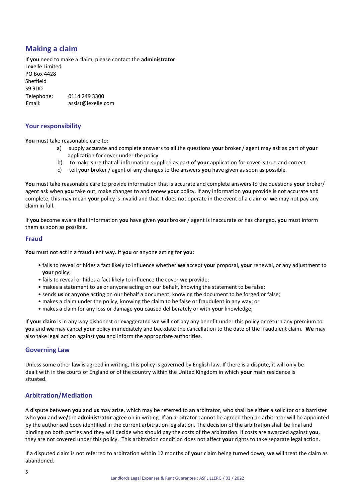# <span id="page-4-0"></span>**Making a claim**

If **you** need to make a claim, please contact the **administrator**: Lexelle Limited PO Box 4428 Sheffield S9 9DD Telephone: 0114 249 3300 Email: assist@lexelle.com

## <span id="page-4-1"></span>**Your responsibility**

**You** must take reasonable care to:

- a) supply accurate and complete answers to all the questions **your** broker / agent may ask as part of **your**  application for cover under the policy
- b) to make sure that all information supplied as part of **your** application for cover is true and correct
- c) tell y**our** broker / agent of any changes to the answers **you** have given as soon as possible.

**You** must take reasonable care to provide information that is accurate and complete answers to the questions **your** broker/ agent ask when **you** take out, make changes to and renew **your** policy. If any information **you** provide is not accurate and complete, this may mean **your** policy is invalid and that it does not operate in the event of a claim or **we** may not pay any claim in full.

If **you** become aware that information **you** have given **your** broker / agent is inaccurate or has changed, **you** must inform them as soon as possible.

## <span id="page-4-2"></span>**Fraud**

**You** must not act in a fraudulent way. If **you** or anyone acting for **you**:

- fails to reveal or hides a fact likely to influence whether **we** accept **your** proposal, **your** renewal, or any adjustment to **your** policy;
- fails to reveal or hides a fact likely to influence the cover **we** provide;
- makes a statement to **us** or anyone acting on our behalf, knowing the statement to be false;
- sends **us** or anyone acting on our behalf a document, knowing the document to be forged or false;
- makes a claim under the policy, knowing the claim to be false or fraudulent in any way; or
- makes a claim for any loss or damage **you** caused deliberately or with **your** knowledge;

If **your claim** is in any way dishonest or exaggerated **we** will not pay any benefit under this policy or return any premium to **you** and **we** may cancel **your** policy immediately and backdate the cancellation to the date of the fraudulent claim. **We** may also take legal action against **you** and inform the appropriate authorities.

## <span id="page-4-3"></span>**Governing Law**

Unless some other law is agreed in writing, this policy is governed by English law. If there is a dispute, it will only be dealt with in the courts of England or of the country within the United Kingdom in which **your** main residence is situated.

# **Arbitration/Mediation**

A dispute between **you** and **us** may arise, which may be referred to an arbitrator, who shall be either a solicitor or a barrister who **you** and **we/**the **administrator** agree on in writing. If an arbitrator cannot be agreed then an arbitrator will be appointed by the authorised body identified in the current arbitration legislation. The decision of the arbitration shall be final and binding on both parties and they will decide who should pay the costs of the arbitration. If costs are awarded against **you**, they are not covered under this policy. This arbitration condition does not affect **your** rights to take separate legal action.

If a disputed claim is not referred to arbitration within 12 months of **your** claim being turned down, **we** will treat the claim as abandoned.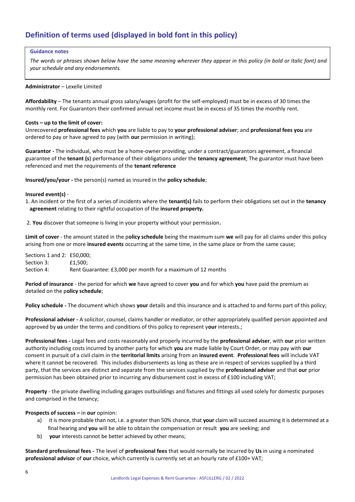# <span id="page-5-0"></span>**Definition of terms used (displayed in bold font in this policy)**

#### **Guidance notes**

*The words or phrases shown below have the same meaning wherever they appear in this policy (in bold or italic font) and your schedule and any endorsements.*

#### **Administrator** – Lexelle Limited

**Affordability** – The tenants annual gross salary/wages (profit for the self-employed) must be in excess of 30 times the monthly rent. For Guarantors their confirmed annual net income must be in excess of 35 times the monthly rent.

#### **Costs – up to the limit of cover:**

Unrecovered **professional fees** which **you** are liable to pay to **your professional adviser**; and **professional fees you** are ordered to pay or have agreed to pay (with **our** permission in writing);

**Guarantor -** The individual, who must be a home-owner providing, under a contract/guarantors agreement, a financial guarantee of the **tenant (s)** performance of their obligations under the **tenancy agreement**; The guarantor must have been referenced and met the requirements of the **tenant reference**

**Insured/you/your -** the person(s) named as insured in the **policy schedule**;

#### **Insured event(s)** -

1. An incident or the first of a series of incidents where the **tenant(s)** fails to perform their obligations set out in the **tenancy agreement** relating to their rightful occupation of the **insured property.**

2. **You** discover that someone is living in your property without your permission**.** 

**Limit of cover** - the amount stated in the p**olicy schedule** being the maximum sum **we** will pay for all claims under this policy arising from one or more **insured events** occurring at the same time, in the same place or from the same cause;

Sections 1 and 2: £50,000; Section 3: **£1,500**; Section 4: Rent Guarantee: £3,000 per month for a maximum of 12 months

**Period of insurance** - the period for which **we** have agreed to cover **you** and for which **you** have paid the premium as detailed on the p**olicy schedule**;

**Policy schedule -** The document which shows **your** details and this insurance and is attached to and forms part of this policy;

**Professional adviser -** A solicitor, counsel, claims handler or mediator, or other appropriately qualified person appointed and approved by **us** under the terms and conditions of this policy to represent y**our** interests.;

**Professional fees -** Legal fees and costs reasonably and properly incurred by the **professional adviser**, with **our** prior written authority including costs incurred by another party for which **you** are made liable by Court Order, or may pay with **our** consent in pursuit of a civil claim in the **territorial limits** arising from an **insured event**. **Professional fees** will include VAT where it cannot be recovered. This includes disbursements as long as these are in respect of services supplied by a third party, that the services are distinct and separate from the services supplied by the **professional adviser** and that **our** prior permission has been obtained prior to incurring any disbursement cost in excess of £100 including VAT;

**Property** - the private dwelling including garages outbuildings and fixtures and fittings all used solely for domestic purposes and comprised in the tenancy;

#### **Prospects of success –** in **our** opinion:

- a) it is more probable than not, i.e. a greater than 50% chance, that **your** claim will succeed assuming it is determined at a final hearing and **you** will be able to obtain the compensation or result **you** are seeking; and
- b) **your** interests cannot be better achieved by other means;

**Standard professional fees -** The level of **professional fees** that would normally be incurred by **Us** in using a nominated **professional advisor** of **our** choice, which currently is currently set at an hourly rate of £100+ VAT;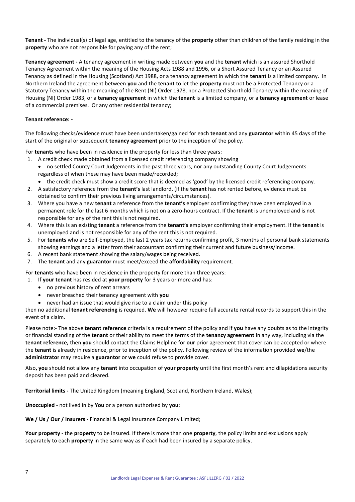**Tenant -** The individual(s) of legal age, entitled to the tenancy of the **property** other than children of the family residing in the **property** who are not responsible for paying any of the rent;

**Tenancy agreement -** A tenancy agreement in writing made between **you** and the **tenant** which is an assured Shorthold Tenancy Agreement within the meaning of the Housing Acts 1988 and 1996, or a Short Assured Tenancy or an Assured Tenancy as defined in the Housing (Scotland) Act 1988, or a tenancy agreement in which the **tenant** is a limited company. In Northern Ireland the agreement between **you** and the **tenant** to let the **property** must not be a Protected Tenancy or a Statutory Tenancy within the meaning of the Rent (NI) Order 1978, nor a Protected Shorthold Tenancy within the meaning of Housing (NI) Order 1983, or a **tenancy agreement** in which the **tenant** is a limited company, or a **tenancy agreement** or lease of a commercial premises. Or any other residential tenancy;

### **Tenant reference: -**

The following checks/evidence must have been undertaken/gained for each **tenant** and any **guarantor** within 45 days of the start of the original or subsequent **tenancy agreement** prior to the inception of the policy.

For **tenants** who have been in residence in the property for less than three years:

- 1. A credit check made obtained from a licensed credit referencing company showing • no settled County Court Judgements in the past three years; nor any outstanding County Court Judgements regardless of when these may have been made/recorded;
	- the credit check must show a credit score that is deemed as 'good' by the licensed credit referencing company.
- 2. A satisfactory reference from the **tenant's** last landlord, (if the **tenant** has not rented before, evidence must be obtained to confirm their previous living arrangements/circumstances).
- 3. Where you have a new **tenant** a reference from the **tenant's** employer confirming they have been employed in a permanent role for the last 6 months which is not on a zero-hours contract. If the **tenant** is unemployed and is not responsible for any of the rent this is not required.
- 4. Where this is an existing **tenant** a reference from the **tenant's** employer confirming their employment. If the **tenant** is unemployed and is not responsible for any of the rent this is not required.
- 5. For **tenants** who are Self-Employed, the last 2 years tax returns confirming profit, 3 months of personal bank statements showing earnings and a letter from their accountant confirming their current and future business/income.
- 6. A recent bank statement showing the salary/wages being received.
- 7. The **tenant** and any **guarantor** must meet/exceed the **affordability** requirement.

For **tenants** who have been in residence in the property for more than three years:

- 1. If **your tenant** has resided at **your property** for 3 years or more and has:
	- no previous history of rent arrears
	- never breached their tenancy agreement with **you**
	- never had an issue that would give rise to a claim under this policy

then no additional **tenant referencing** is required. **We** will however require full accurate rental records to support this in the event of a claim.

Please note:- The above **tenant reference** criteria is a requirement of the policy and if **you** have any doubts as to the integrity or financial standing of the **tenant** or their ability to meet the terms of the **tenancy agreement** in any way, including via the **tenant reference,** then **you** should contact the Claims Helpline for **our** prior agreement that cover can be accepted or where the **tenant** is already in residence, prior to inception of the policy. Following review of the information provided **we**/the **administrator** may require a **guarantor** or **we** could refuse to provide cover.

Also**, you** should not allow any **tenant** into occupation of **your property** until the first month's rent and dilapidations security deposit has been paid and cleared.

**Territorial limits -** The United Kingdom (meaning England, Scotland, Northern Ireland, Wales);

**Unoccupied** - not lived in by **You** or a person authorised by **you**;

**We / Us / Our / Insurers** - Financial & Legal Insurance Company Limited;

**Your property** - the **property** to be insured. If there is more than one **property**, the policy limits and exclusions apply separately to each **property** in the same way as if each had been insured by a separate policy.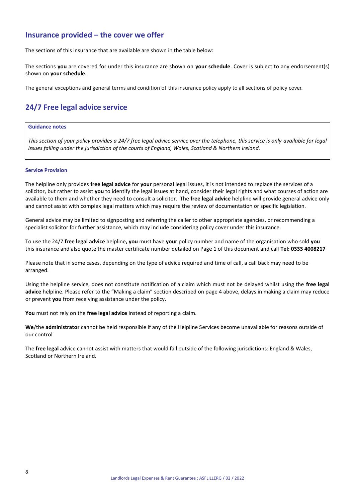# <span id="page-7-0"></span>**Insurance provided – the cover we offer**

The sections of this insurance that are available are shown in the table below:

The sections **you** are covered for under this insurance are shown on **your schedule**. Cover is subject to any endorsement(s) shown on **your schedule**.

The general exceptions and general terms and condition of this insurance policy apply to all sections of policy cover.

# **24/7 Free legal advice service**

## **Guidance notes**

*This section of your policy provides a 24/7 free legal advice service over the telephone, this service is only available for legal issues falling under the jurisdiction of the courts of England, Wales, Scotland & Northern Ireland.*

#### **Service Provision**

The helpline only provides **free legal advice** for **your** personal legal issues, it is not intended to replace the services of a solicitor, but rather to assist **you** to identify the legal issues at hand, consider their legal rights and what courses of action are available to them and whether they need to consult a solicitor. The **free legal advice** helpline will provide general advice only and cannot assist with complex legal matters which may require the review of documentation or specific legislation.

General advice may be limited to signposting and referring the caller to other appropriate agencies, or recommending a specialist solicitor for further assistance, which may include considering policy cover under this insurance.

To use the 24/7 **free legal advice** helpline**, you** must have **your** policy number and name of the organisation who sold **you** this insurance and also quote the master certificate number detailed on Page 1 of this document and call **Tel: 0333 4008217**

Please note that in some cases, depending on the type of advice required and time of call, a call back may need to be arranged.

Using the helpline service, does not constitute notification of a claim which must not be delayed whilst using the **free legal advice** helpline. Please refer to the "Making a claim" section described on page 4 above, delays in making a claim may reduce or prevent **you** from receiving assistance under the policy.

**You** must not rely on the **free legal advice** instead of reporting a claim.

**We**/the **administrator** cannot be held responsible if any of the Helpline Services become unavailable for reasons outside of our control.

<span id="page-7-1"></span>The **free legal** advice cannot assist with matters that would fall outside of the following jurisdictions: England & Wales, Scotland or Northern Ireland.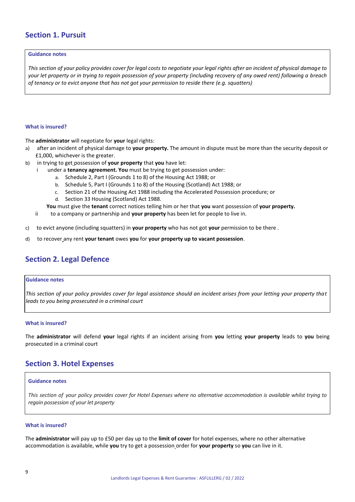# **Section 1. Pursuit**

#### **Guidance notes**

*This section of your policy provides cover for legal costs to negotiate your legal rights after an incident of physical damage to your let property or in trying to regain possession of your property (including recovery of any owed rent) following a breach of tenancy or to evict anyone that has not got your permission to reside there (e.g. squatters)*

#### **What is insured?**

The **administrator** will negotiate for **your** legal rights:

- a) after an incident of physical damage to **your property.** The amount in dispute must be more than the security deposit or £1,000, whichever is the greater.
- b) in trying to get possession of **your property** that **you** have let:
	- i under a **tenancy agreement. You** must be trying to get possession under:
		- a. Schedule 2, Part I (Grounds 1 to 8) of the Housing Act 1988; or
		- b. Schedule 5, Part I (Grounds 1 to 8) of the Housing (Scotland) Act 1988; or
		- c. Section 21 of the Housing Act 1988 including the Accelerated Possession procedure; or
		- d. Section 33 Housing (Scotland) Act 1988.
		- **You** must give the **tenant** correct notices telling him or her that **you** want possession of **your property.**
	- ii to a company or partnership and **your property** has been let for people to live in.
- c) to evict anyone (including squatters) in **your property** who has not got **your** permission to be there .
- d) to recover any rent **your tenant** owes **you** for **your property up to vacant possession**.

# <span id="page-8-0"></span>**Section 2. Legal Defence**

#### **Guidance notes**

*This section of your policy provides cover for legal assistance should an incident arises from your letting your property that leads to you being prosecuted in a criminal court*

#### **What is insured?**

The **administrator** will defend **your** legal rights if an incident arising from **you** letting **your property** leads to **you** being prosecuted in a criminal court

# <span id="page-8-1"></span>**Section 3. Hotel Expenses**

#### **Guidance notes**

*This section of your policy provides cover for Hotel Expenses where no alternative accommodation is available whilst trying to regain possession of your let property* 

#### **What is insured?**

The **administrator** will pay up to £50 per day up to the **limit of cover** for hotel expenses, where no other alternative accommodation is available, while **you** try to get a possession order for **your property** so **you** can live in it.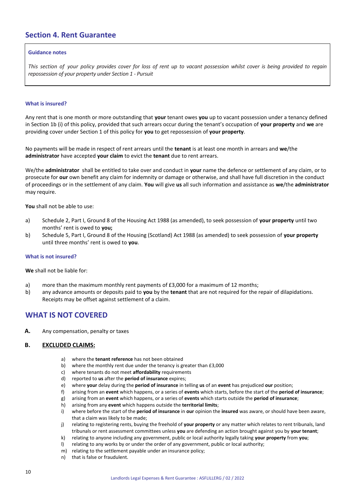# <span id="page-9-0"></span>**Section 4. Rent Guarantee**

#### **Guidance notes**

*This section of your policy provides cover for loss of rent up to vacant possession whilst cover is being provided to regain repossession of your property under Section 1 - Pursuit*

#### **What is insured?**

Any rent that is one month or more outstanding that **your** tenant owes **you** up to vacant possession under a tenancy defined in Section 1b (i) of this policy, provided that such arrears occur during the tenant's occupation of **your property** and **we** are providing cover under Section 1 of this policy for **you** to get repossession of **your property**.

No payments will be made in respect of rent arrears until the **tenant** is at least one month in arrears and **we**/the **administrator** have accepted **your claim** to evict the **tenant** due to rent arrears.

We/the **administrator** shall be entitled to take over and conduct in **your** name the defence or settlement of any claim, or to prosecute for **our** own benefit any claim for indemnity or damage or otherwise, and shall have full discretion in the conduct of proceedings or in the settlement of any claim. **You** will give **us** all such information and assistance as **we**/the **administrator**  may require.

**You** shall not be able to use:

- a) Schedule 2, Part I, Ground 8 of the Housing Act 1988 (as amended), to seek possession of **your property** until two months' rent is owed to **you;**
- b) Schedule 5, Part I, Ground 8 of the Housing (Scotland) Act 1988 (as amended) to seek possession of **your property** until three months' rent is owed to **you**.

#### **What is not insured?**

#### **We** shall not be liable for:

- a) more than the maximum monthly rent payments of £3,000 for a maximum of 12 months;
- b) any advance amounts or deposits paid to **you** by the **tenant** that are not required for the repair of dilapidations. Receipts may be offset against settlement of a claim.

# <span id="page-9-1"></span>**WHAT IS NOT COVERED**

**A.** Any compensation, penalty or taxes

#### **B. EXCLUDED CLAIMS:**

- a) where the **tenant reference** has not been obtained
- b) where the monthly rent due under the tenancy is greater than £3,000
- c) where tenants do not meet **affordability** requirements
- d) reported to **us** after the **period of insurance** expires;
- e) where **your** delay during the **period of insurance** in telling **us** of an **event** has prejudiced **our** position;
- f) arising from an **event** which happens, or a series of **events** which starts, before the start of the **period of insurance**;
- g) arising from an **event** which happens, or a series of **events** which starts outside the **period of insurance**;
- h) arising from any **event** which happens outside the **territorial limits**;
- i) where before the start of the **period of insurance** in **our** opinion the **insured** was aware, or should have been aware, that a claim was likely to be made;
- j) relating to registering rents, buying the freehold of **your property** or any matter which relates to rent tribunals, land tribunals or rent assessment committees unless **you** are defending an action brought against you by **your tenant**;
- k) relating to anyone including any government, public or local authority legally taking **your property** from **you**;
- l) relating to any works by or under the order of any government, public or local authority;
- m) relating to the settlement payable under an insurance policy;
- n) that is false or fraudulent.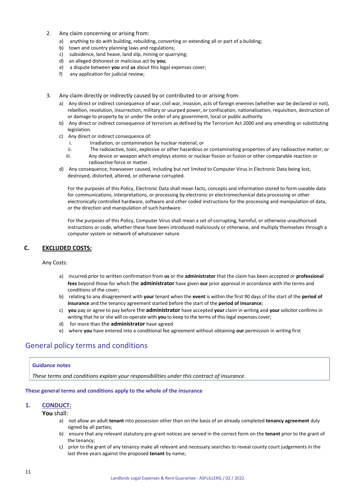- 2. Any claim concerning or arising from:
	- a) anything to do with building, rebuilding, converting or extending all or part of a building;
	- b) town and country planning laws and regulations;
	- c) subsidence, land heave, land slip, mining or quarrying;
	- d) an alleged dishonest or malicious act by **you**;
	- e) a dispute between **you** and **us** about this legal expenses cover;
	- f) any application for judicial review;
- 3. Any claim directly or indirectly caused by or contributed to or arising from:
	- a) Any direct or indirect consequence of war, civil war, invasion, acts of foreign enemies (whether war be declared or not), rebellion, revolution, insurrection, military or usurped power, or confiscation, nationalisation, requisition, destruction of or damage to property by or under the order of any government, local or public authority
	- b) Any direct or indirect consequence of terrorism as defined by the Terrorism Act 2000 and any amending or substituting legislation.
	- c) Any direct or indirect consequence of:
		- i. Irradiation, or contamination by nuclear material; or
		- ii. The radioactive, toxic, explosive or other hazardous or contaminating properties of any radioactive matter; or
		- iii. Any device or weapon which employs atomic or nuclear fission or fusion or other comparable reaction or radioactive force or matter.
	- d) Any consequence, howsoever caused, including but not limited to Computer Virus in Electronic Data being lost, destroyed, distorted, altered, or otherwise corrupted.

For the purposes of this Policy, Electronic Data shall mean facts, concepts and information stored to form useable data for communications, interpretations, or processing by electronic or electromechanical data processing or other electronically controlled hardware, software and other coded instructions for the processing and manipulation of data, or the direction and manipulation of such hardware.

For the purposes of this Policy, Computer Virus shall mean a set of corrupting, harmful, or otherwise unauthorised instructions or code, whether these have been introduced maliciously or otherwise, and multiply themselves through a computer system or network of whatsoever nature.

## **C. EXCLUDED COSTS:**

<span id="page-10-0"></span>Any Costs:

- a) incurred prior to written confirmation from **us** or the **administrator** that the claim has been accepted or **professional fees** beyond those for which the **administrator** have given **our** prior approval in accordance with the terms and conditions of the cover;
- b) relating to any disagreement with **your** tenant when the **event** is within the first 90 days of the start of the **period of insurance** and the tenancy agreement started before the start of the **period of insurance**;
- c) **you** pay or agree to pay before the **administrator** have accepted **your** claim in writing and **your** solicitor confirms in writing that he or she will co-operate with **you** to keep to the terms of this legal expenses cover;
- d) for more than the **administrator** have agreed
- e) where **you** have entered into a conditional fee agreement without obtaining **our** permission in writing first

# General policy terms and conditions

#### **Guidance notes**

*These terms and conditions explain your responsibilities under this contract of insurance.*

#### **These general terms and conditions apply to the whole of the insurance**

#### **1. CONDUCT:**

**You** shall:

- a) not allow an adult **tenant** into possession other than on the basis of an already completed **tenancy agreement** duly signed by all parties;
- b) ensure that any relevant statutory pre-grant notices are served in the correct form on the **tenant** prior to the grant of the tenancy;
- c) prior to the grant of any tenancy make all relevant and necessary searches to reveal county court judgements in the last three years against the proposed **tenant** by name;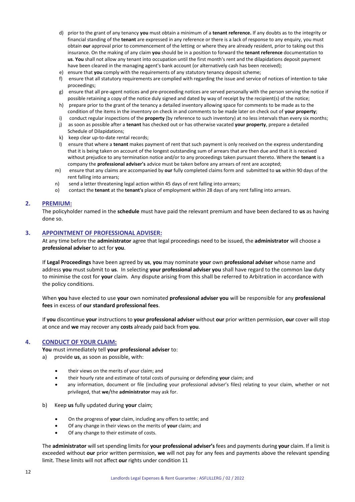- d) prior to the grant of any tenancy **you** must obtain a minimum of a **tenant reference.** If any doubts as to the integrity or financial standing of the **tenant** are expressed in any reference or there is a lack of response to any enquiry, you must obtain **our** approval prior to commencement of the letting or where they are already resident, prior to taking out this insurance. On the making of any claim **you** should be in a position to forward the **tenant reference** documentation to **us**. **You** shall not allow any tenant into occupation until the first month's rent and the dilapidations deposit payment have been cleared in the managing agent's bank account (or alternatively cash has been received);
- e) ensure that **you** comply with the requirements of any statutory tenancy deposit scheme;
- f) ensure that all statutory requirements are complied with regarding the issue and service of notices of intention to take proceedings;
- g) ensure that all pre-agent notices and pre-proceeding notices are served personally with the person serving the notice if possible retaining a copy of the notice duly signed and dated by way of receipt by the recipient(s) of the notice;
- h) prepare prior to the grant of the tenancy a detailed inventory allowing space for comments to be made as to the condition of the items in the inventory on check in and comments to be made later on check out of **your property**;
- i) conduct regular inspections of the **property** (by reference to such inventory) at no less intervals than every six months;
- j) as soon as possible after a **tenant** has checked out or has otherwise vacated **your property**, prepare a detailed Schedule of Dilapidations;
- k) keep clear up-to-date rental records;
- l) ensure that where a **tenant** makes payment of rent that such payment is only received on the express understanding that it is being taken on account of the longest outstanding sum of arrears that are then due and that it is received without prejudice to any termination notice and/or to any proceedings taken pursuant thereto. Where the **tenant** is a company the **professional adviser's** advice must be taken before any arrears of rent are accepted;
- m) ensure that any claims are accompanied by **our** fully completed claims form and submitted to **us** within 90 days of the rent falling into arrears;
- n) send a letter threatening legal action within 45 days of rent falling into arrears;
- o) contact the **tenant** at the **tenant's** place of employment within 28 days of any rent falling into arrears.

#### **2. PREMIUM:**

The policyholder named in the **schedule** must have paid the relevant premium and have been declared to **us** as having done so.

#### **3. APPOINTMENT OF PROFESSIONAL ADVISER:**

At any time before the **administrator** agree that legal proceedings need to be issued, the **administrator** will choose a **professional adviser** to act for **you**.

If **Legal Proceedings** have been agreed by **us**, **you** may nominate **your** own **professional adviser** whose name and address **you** must submit to **us**. In selecting **your professional adviser you** shall have regard to the common law duty to minimise the cost for **your** claim. Any dispute arising from this shall be referred to Arbitration in accordance with the policy conditions.

When **you** have elected to use **your** own nominated **professional adviser you** will be responsible for any **professional fees** in excess of **our standard professional fees**.

If **you** discontinue **your** instructions to **your professional adviser** without **our** prior written permission, **our** cover will stop at once and **we** may recover any **costs** already paid back from **you**.

#### **4. CONDUCT OF YOUR CLAIM:**

**You** must immediately tell **your professional adviser** to:

- a) provide **us**, as soon as possible, with:
	- their views on the merits of your claim; and
	- their hourly rate and estimate of total costs of pursuing or defending **your** claim; and
	- any information, document or file (including your professional adviser's files) relating to your claim, whether or not privileged, that **we**/the **administrator** may ask for.
- b) Keep **us** fully updated during **your** claim;
	- On the progress of **your** claim, including any offers to settle; and
	- Of any change in their views on the merits of **your** claim; and
	- Of any change to their estimate of costs.

The **administrator** will set spending limits for **your professional adviser's** fees and payments during **your** claim. If a limit is exceeded without **our** prior written permission, **we** will not pay for any fees and payments above the relevant spending limit. These limits will not affect **our** rights under condition 11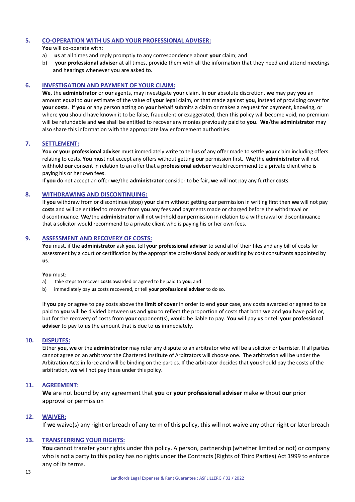## **5. CO-OPERATION WITH US AND YOUR PROFESSIONAL ADVISER:**

**You** will co-operate with:

- a) **us** at all times and reply promptly to any correspondence about **your** claim; and
- b) **your professional adviser** at all times, provide them with all the information that they need and attend meetings and hearings whenever you are asked to.

#### **6. INVESTIGATION AND PAYMENT OF YOUR CLAIM:**

**We**, the **administrator** or **our** agents, may investigate **your** claim. In **our** absolute discretion, **we** may pay **you** an amount equal to **our** estimate of the value of **your** legal claim, or that made against **you**, instead of providing cover for **your costs**. If **you** or any person acting on **your** behalf submits a claim or makes a request for payment, knowing, or where **you** should have known it to be false, fraudulent or exaggerated, then this policy will become void, no premium will be refundable and **we** shall be entitled to recover any monies previously paid to **you**. **We**/the **administrator** may also share this information with the appropriate law enforcement authorities.

#### **7. SETTLEMENT:**

**You** or **your professional adviser** must immediately write to tell **us** of any offer made to settle **your** claim including offers relating to costs. **You** must not accept any offers without getting **our** permission first. **We**/the **administrator** will not withhold **our** consent in relation to an offer that a **professional adviser** would recommend to a private client who is paying his or her own fees.

If **you** do not accept an offer **we**/the **administrator** consider to be fair**, we** will not pay any further **costs**.

## **8. WITHDRAWING AND DISCONTINUING:**

If **you** withdraw from or discontinue (stop) **your** claim without getting **our** permission in writing first then **we** will not pay **costs** and will be entitled to recover from **you** any fees and payments made or charged before the withdrawal or discontinuance. **We**/the **administrator** will not withhold **our** permission in relation to a withdrawal or discontinuance that a solicitor would recommend to a private client who is paying his or her own fees.

## **9. ASSESSMENT AND RECOVERY OF COSTS:**

**You** must, if the **administrator** ask **you**, tell **your professional adviser** to send all of their files and any bill of costs for assessment by a court or certification by the appropriate professional body or auditing by cost consultants appointed by **us**.

#### **You** must:

- a) take steps to recover **costs** awarded or agreed to be paid to **you**; and
- b) immediately pay **us** costs recovered, or tell **your professional adviser** to do so.

If **you** pay or agree to pay costs above the **limit of cover** in order to end **your** case, any costs awarded or agreed to be paid to **you** will be divided between **us** and **you** to reflect the proportion of costs that both **we** and **you** have paid or, but for the recovery of costs from **your** opponent(s), would be liable to pay. **You** will pay **us** or tell **your professional adviser** to pay to **us** the amount that is due to **us** immediately.

#### **10. DISPUTES:**

Either **you, we** or the **administrator** may refer any dispute to an arbitrator who will be a solicitor or barrister. If all parties cannot agree on an arbitrator the Chartered Institute of Arbitrators will choose one. The arbitration will be under the Arbitration Acts in force and will be binding on the parties. If the arbitrator decides that **you** should pay the costs of the arbitration, **we** will not pay these under this policy.

## **11. AGREEMENT:**

**We** are not bound by any agreement that **you** or **your professional adviser** make without **our** prior approval or permission

#### **12. WAIVER:**

If **we** waive(s) any right or breach of any term of this policy, this will not waive any other right or later breach

## **13. TRANSFERRING YOUR RIGHTS:**

**You** cannot transfer your rights under this policy. A person, partnership (whether limited or not) or company who is not a party to this policy has no rights under the Contracts (Rights of Third Parties) Act 1999 to enforce any of its terms.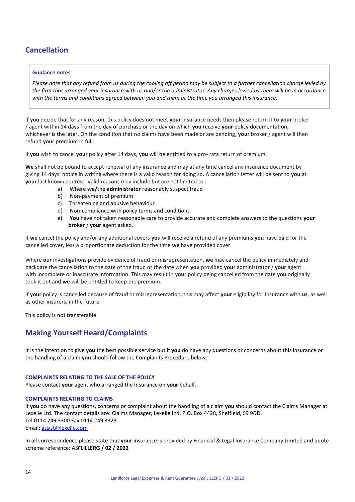# <span id="page-13-0"></span>**Cancellation**

#### **Guidance notes**

*Please note that any refund from us during the cooling off period may be subject to a further cancellation charge levied by the firm that arranged your insurance with us and/or the administrator. Any charges levied by them will be in accordance with the terms and conditions agreed between you and them at the time you arranged this insurance.*

If **you** decide that for any reason, this policy does not meet **your** insurance needs then please return it to **your** broker / agent within 14 days from the day of purchase or the day on which **you** receive **your** policy documentation, whichever is the later. On the condition that no claims have been made or are pending, **your** broker / agent will then refund **your** premium in full.

If **you** wish to cancel **your** policy after 14 days, **you** will be entitled to a pro- rata return of premium.

**We** shall not be bound to accept renewal of any insurance and may at any time cancel any insurance document by giving 14 days' notice in writing where there is a valid reason for doing so. A cancellation letter will be sent to **you** at **your** last known address. Valid reasons may include but are not limited to:

- a) Where **we/**the **administrator** reasonably suspect fraud
- b) Non-payment of premium
- c) Threatening and abusive behaviour
- d) Non-compliance with policy terms and conditions
- e) **You** have not taken reasonable care to provide accurate and complete answers to the questions **your broker** / **your** agent asked.

If **we** cancel the policy and/or any additional covers **you** will receive a refund of any premiums **you** have paid for the cancelled cover, less a proportionate deduction for the time **we** have provided cover.

Where **our** investigations provide evidence of fraud or misrepresentation, **we** may cancel the policy immediately and backdate the cancellation to the date of the fraud or the date when **you** provided **your** administrator / **your** agent with incomplete or inaccurate information. This may result in **your** policy being cancelled from the date **you** originally took it out and **we** will be entitled to keep the premium.

If **your** policy is cancelled because of fraud or misrepresentation, this may affect **your** eligibility for insurance with **us**, as well as other insurers, in the future.

This policy is not transferable.

# <span id="page-13-1"></span>**Making Yourself Heard/Complaints**

It is the intention to give **you** the best possible service but if **you** do have any questions or concerns about this insurance or the handling of a claim **you** should follow the Complaints Procedure below:

#### **COMPLAINTS RELATING TO THE SALE OF THE POLICY**

Please contact **your** agent who arranged the Insurance on **your** behalf.

#### **COMPLAINTS RELATING TO CLAIMS**

If **you** do have any questions, concerns or complaint about the handling of a claim **you** should contact the Claims Manager at Lexelle Ltd. The contact details are: Claims Manager, Lexelle Ltd, P.O. Box 4428, Sheffield, S9 9DD. Tel 0114 249 3300 Fax 0114 249 3323 Email[: assist@lexelle.com](mailto:assist@lexelle.com)

In all correspondence please state that **your** insurance is provided by Financial & Legal Insurance Company Limited and quote scheme reference: AS**FLILLERG / 02 / 2022**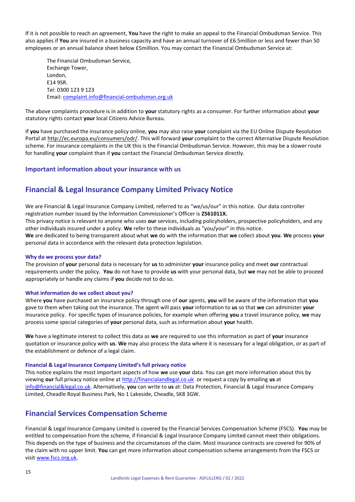If it is not possible to reach an agreement, **You** have the right to make an appeal to the Financial Ombudsman Service. This also applies if You are insured in a business capacity and have an annual turnover of £6.5million or less and fewer than 50 employees or an annual balance sheet below £5million. You may contact the Financial Ombudsman Service at:

The Financial Ombudsman Service, Exchange Tower, London, E14 9SR. Tel: 0300 123 9 123 Email[: complaint.info@financial-ombudsman.org.uk](mailto:complaint.info@financial-ombudsman.org.uk)

The above complaints procedure is in addition to **your** statutory rights as a consumer. For further information about **your**  statutory rights contact **your** local Citizens Advice Bureau.

If **you** have purchased the insurance policy online, **you** may also raise **your** complaint via the EU Online Dispute Resolution Portal a[t http://ec.europa.eu/consumers/odr/.](http://ec.europa.eu/consumers/odr/) This will forward **your** complaint to the correct Alternative Dispute Resolution scheme. For insurance complaints in the UK this is the Financial Ombudsman Service. However, this may be a slower route for handling **your** complaint than if **you** contact the Financial Ombudsman Service directly.

## <span id="page-14-0"></span>**Important information about your insurance with us**

# **Financial & Legal Insurance Company Limited Privacy Notice**

We are Financial & Legal Insurance Company Limited, referred to as "we/us/our" in this notice. Our data controller registration number issued by the Information Commissioner's Officer is **Z561011X.** 

This privacy notice is relevant to anyone who uses **our** services, including policyholders, prospective policyholders, and any other individuals insured under a policy. **We** refer to these individuals as "you/your" in this notice.

**We** are dedicated to being transparent about what **we** do with the information that **we** collect about **you**. **We** process **your** personal data in accordance with the relevant data protection legislation.

#### **Why do we process your data?**

The provision of **your** personal data is necessary for **us** to administer **your** insurance policy and meet **our** contractual requirements under the policy. **You** do not have to provide **us** with your personal data, but **we** may not be able to proceed appropriately or handle any claims if **you** decide not to do so.

#### **What information do we collect about you?**

Where **you** have purchased an insurance policy through one of **our** agents, **you** will be aware of the information that **you** gave to them when taking out the insurance. The agent will pass **your** information to **us** so that **we** can administer **your**  insurance policy. For specific types of insurance policies, for example when offering **you** a travel insurance policy, **we** may process some special categories of **your** personal data, such as information about **your** health.

**We** have a legitimate interest to collect this data as **we** are required to use this information as part of **your** insurance quotation or insurance policy with **us**. **We** may also process the data where it is necessary for a legal obligation, or as part of the establishment or defence of a legal claim.

#### **Financial & Legal Insurance Company Limited's full privacy notice**

This notice explains the most important aspects of how **we** use **your** data. You can get more information about this by viewing **our** full privacy notice online at http://financialandlegal.co.uk or request a copy by emailing **us** at [info@financial&legal.co.uk.](mailto:info@financial&legal.co.uk) Alternatively, **you** can write to **us** at: Data Protection, Financial & Legal Insurance Company Limited, Cheadle Royal Business Park, No 1 Lakeside, Cheadle, SK8 3GW.

# <span id="page-14-1"></span>**Financial Services Compensation Scheme**

Financial & Legal Insurance Company Limited is covered by the Financial Services Compensation Scheme (FSCS). **You** may be entitled to compensation from the scheme, if Financial & Legal Insurance Company Limited cannot meet their obligations. This depends on the type of business and the circumstances of the claim. Most insurance contracts are covered for 90% of the claim with no upper limit. **You** can get more information about compensation scheme arrangements from the FSCS or visi[t www.fscs.org.uk.](http://www.fscs.org.uk/)